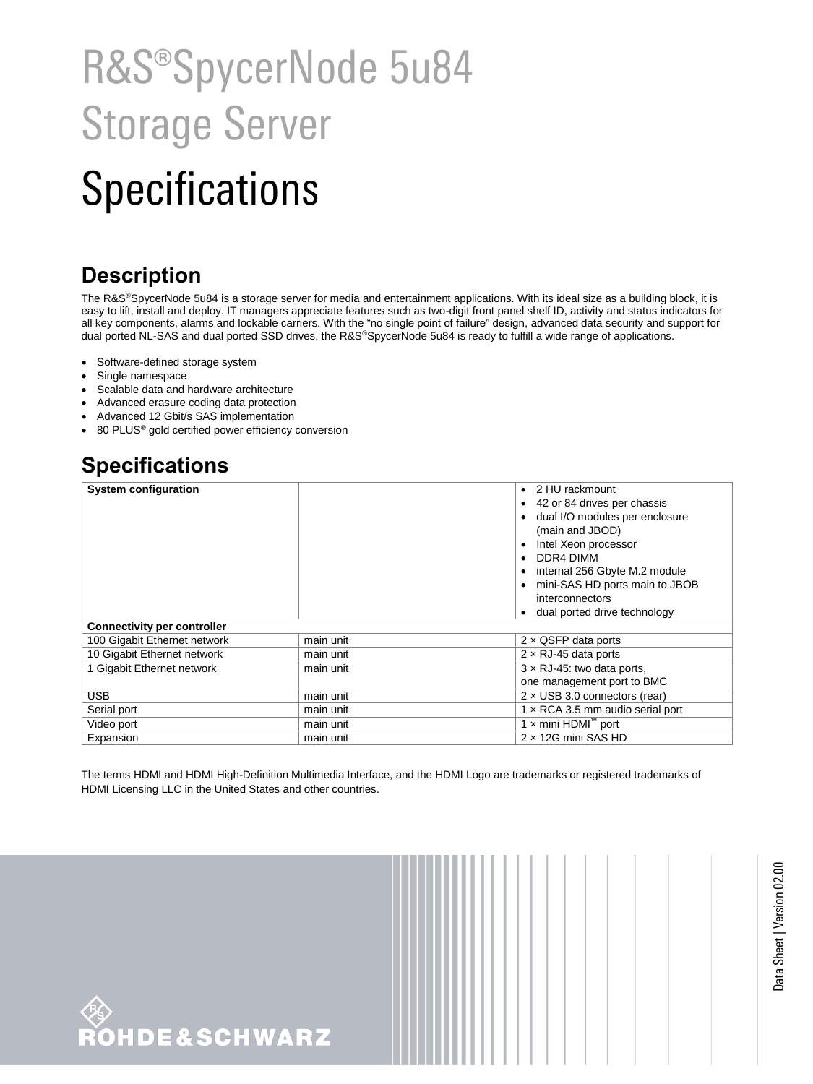# R&S®SpycerNode 5u84 Storage Server

## **Specifications**

### **Description**

The R&S®SpycerNode 5u84 is a storage server for media and entertainment applications. With its ideal size as a building block, it is easy to lift, install and deploy. IT managers appreciate features such as two-digit front panel shelf ID, activity and status indicators for all key components, alarms and lockable carriers. With the "no single point of failure" design, advanced data security and support for dual ported NL-SAS and dual ported SSD drives, the R&S®SpycerNode 5u84 is ready to fulfill a wide range of applications.

- Software-defined storage system
- Single namespace
- Scalable data and hardware architecture
- Advanced erasure coding data protection
- Advanced 12 Gbit/s SAS implementation
- 80 PLUS<sup>®</sup> gold certified power efficiency conversion

#### **Specifications**

| <b>System configuration</b>        |           | 2 HU rackmount<br>$\bullet$<br>42 or 84 drives per chassis |
|------------------------------------|-----------|------------------------------------------------------------|
|                                    |           | dual I/O modules per enclosure                             |
|                                    |           | (main and JBOD)                                            |
|                                    |           | Intel Xeon processor                                       |
|                                    |           | DDR4 DIMM                                                  |
|                                    |           | internal 256 Gbyte M.2 module                              |
|                                    |           | mini-SAS HD ports main to JBOB                             |
|                                    |           | interconnectors                                            |
|                                    |           | dual ported drive technology                               |
| <b>Connectivity per controller</b> |           |                                                            |
| 100 Gigabit Ethernet network       | main unit | $2 \times$ QSFP data ports                                 |
| 10 Gigabit Ethernet network        | main unit | $2 \times RJ-45$ data ports                                |
| 1 Gigabit Ethernet network         | main unit | $3 \times$ RJ-45: two data ports,                          |
|                                    |           | one management port to BMC                                 |
| <b>USB</b>                         | main unit | $2 \times$ USB 3.0 connectors (rear)                       |
| Serial port                        | main unit | 1 x RCA 3.5 mm audio serial port                           |
| Video port                         | main unit | 1 x mini HDMI <sup>™</sup> port                            |
| Expansion                          | main unit | $2 \times 12$ G mini SAS HD                                |

The terms HDMI and HDMI High-Definition Multimedia Interface, and the HDMI Logo are trademarks or registered trademarks of HDMI Licensing LLC in the United States and other countries.